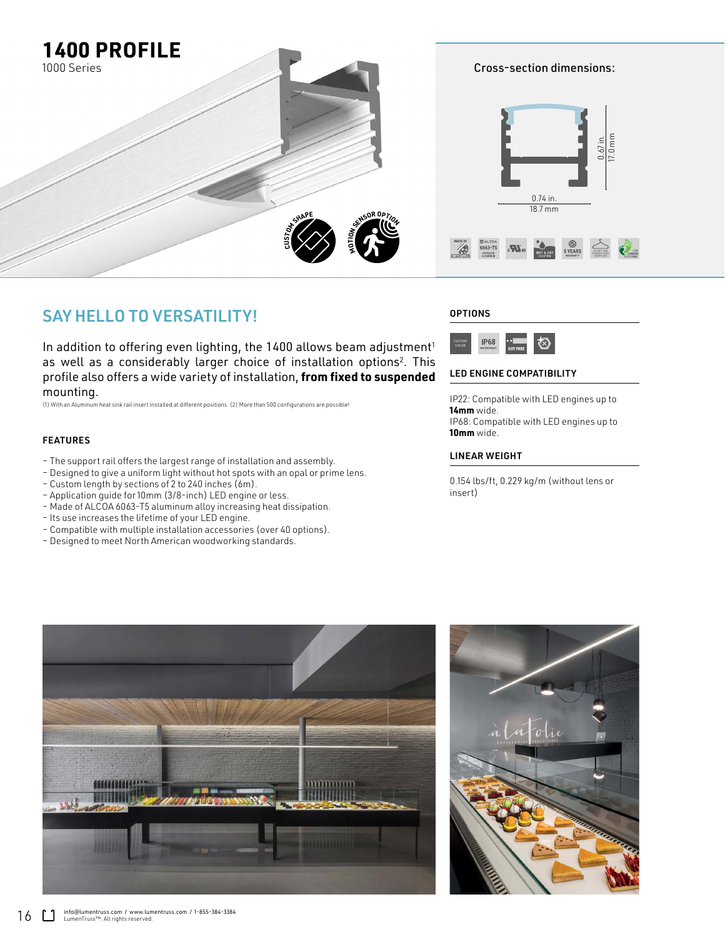

## SAY HELLO TO VERSATILITY!

In addition to offering even lighting, the  $1400$  allows beam adjustment<sup>1</sup> as well as a considerably larger choice of installation options<sup>2</sup>. This profile also offers a wide variety of installation, **from fixed to suspended**  mounting.

(1) With an Aluminum heat sink rail insert installed at different positions. (2) More than 500 configurations are possible!

#### FEATURES

- The support rail offers the largest range of installation and assembly.
- Designed to give a uniform light without hot spots with an opal or prime lens.
- Custom length by sections of 2 to 240 inches (6m).
- Application guide for 10mm (3/8-inch) LED engine or less.
- Made of ALCOA 6063-T5 aluminum alloy increasing heat dissipation.
- Its use increases the lifetime of your LED engine.
- Compatible with multiple installation accessories (over 40 options).
- Designed to meet North American woodworking standards.

### **OPTIONS**



#### LED ENGINE COMPATIBILITY

IP22: Compatible with LED engines up to **14mm** wide. IP68: Compatible with LED engines up to **10mm** wide.

#### LINEAR WEIGHT

0.154 lbs/ft, 0.229 kg/m (without lens or insert)